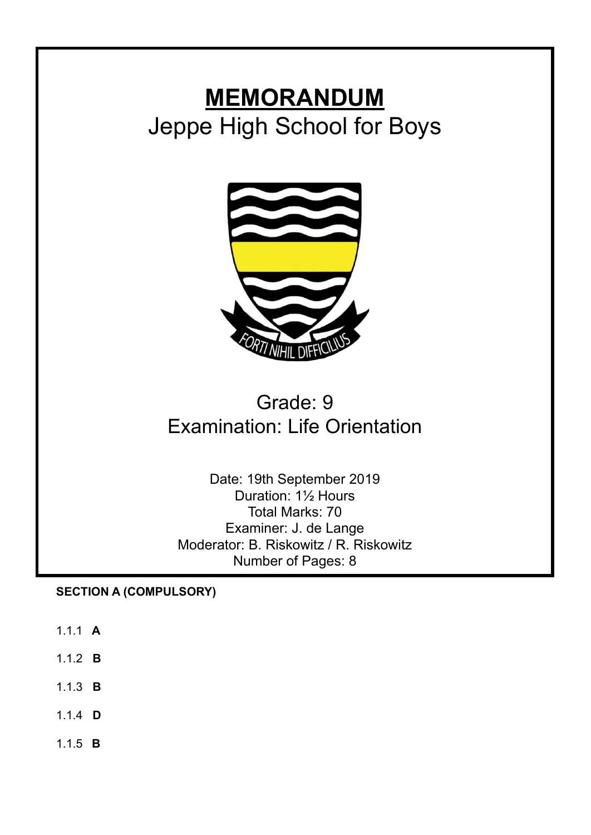# **MEMORANDUM** Jeppe High School for Boys



# Grade: 9 Examination: Life Orientation

Date: 19th September 2019 Duration: 1½ Hours Total Marks: 70 Examiner: J. de Lange Moderator: B. Riskowitz / R. Riskowitz Number of Pages: 8

**SECTION A (COMPULSORY)**

- 1.1.1 **A**
- 1.1.2 **B**
- 1.1.3 **B**
- 1.1.4 **D**
- 1.1.5 **B**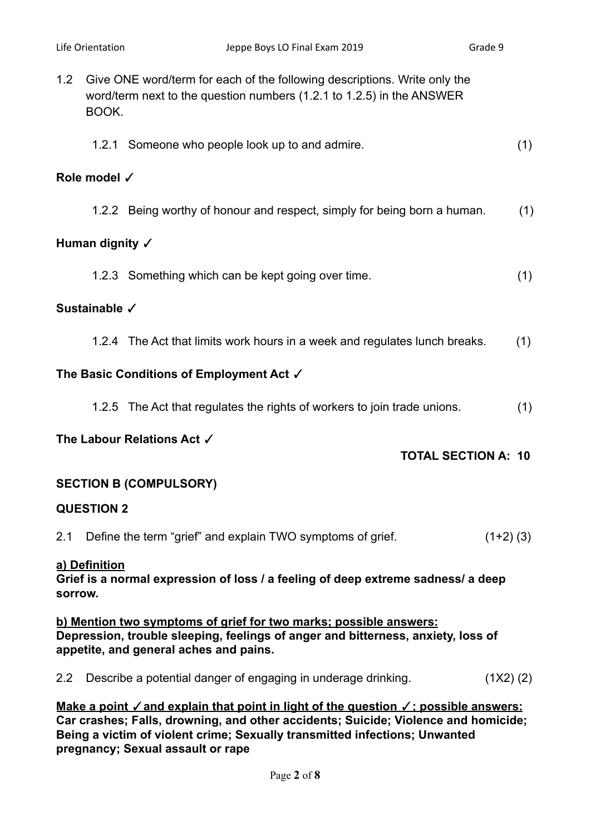- 1.2 Give ONE word/term for each of the following descriptions. Write only the word/term next to the question numbers (1.2.1 to 1.2.5) in the ANSWER BOOK.
	- 1.2.1 Someone who people look up to and admire. (1)

# **Role model** ✓

1.2.2 Being worthy of honour and respect, simply for being born a human. (1)

# **Human dignity** ✓

1.2.3 Something which can be kept going over time. (1)

# **Sustainable** ✓

1.2.4 The Act that limits work hours in a week and regulates lunch breaks. (1)

# **The Basic Conditions of Employment Act** ✓

1.2.5 The Act that regulates the rights of workers to join trade unions. (1)

# **The Labour Relations Act** ✓

# **TOTAL SECTION A: 10**

# **SECTION B (COMPULSORY)**

# **QUESTION 2**

2.1 Define the term "grief" and explain TWO symptoms of grief. (1+2) (3)

# **a) Definition**

**Grief is a normal expression of loss / a feeling of deep extreme sadness/ a deep sorrow.**

**b) Mention two symptoms of grief for two marks; possible answers: Depression, trouble sleeping, feelings of anger and bitterness, anxiety, loss of appetite, and general aches and pains.**

2.2 Describe a potential danger of engaging in underage drinking. (1X2) (2)

**Make a point** ✓**and explain that point in light of the question** ✓**; possible answers: Car crashes; Falls, drowning, and other accidents; Suicide; Violence and homicide; Being a victim of violent crime; Sexually transmitted infections; Unwanted pregnancy; Sexual assault or rape**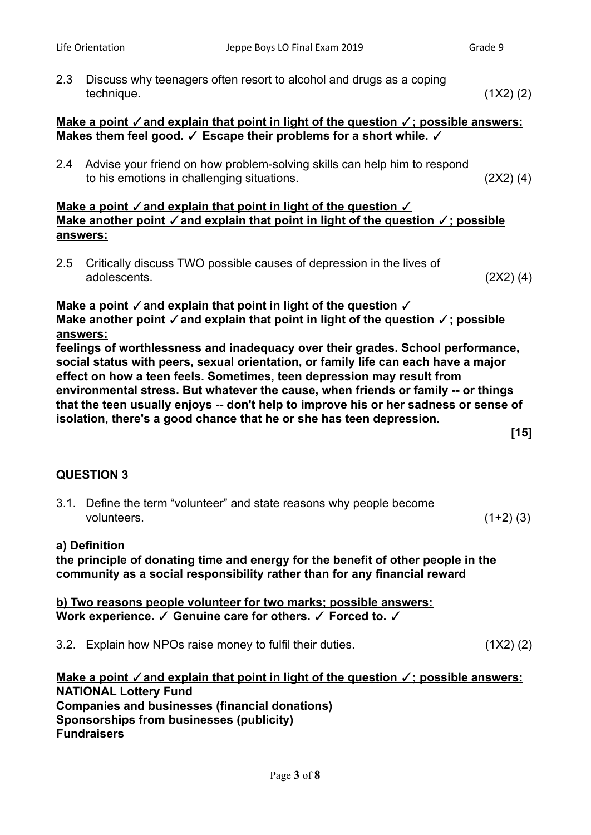2.3 Discuss why teenagers often resort to alcohol and drugs as a coping technique. (1X2) (2) **Make a point** ✓**and explain that point in light of the question** ✓**; possible answers: Makes them feel good.** ✓ **Escape their problems for a short while.** ✓ 2.4 Advise your friend on how problem-solving skills can help him to respond to his emotions in challenging situations. (2X2) (4) **Make a point** ✓**and explain that point in light of the question** ✓ **Make another point** ✓**and explain that point in light of the question** ✓**; possible answers:** 2.5 Critically discuss TWO possible causes of depression in the lives of adolescents. (2X2) (4) **Make a point** ✓**and explain that point in light of the question** ✓ **Make another point** ✓**and explain that point in light of the question** ✓**; possible answers: feelings of worthlessness and inadequacy over their grades. School performance, social status with peers, sexual orientation, or family life can each have a major effect on how a teen feels. Sometimes, teen depression may result from environmental stress. But whatever the cause, when friends or family -- or things that the teen usually enjoys -- don't help to improve his or her sadness or sense of isolation, there's a good chance that he or she has teen depression. [15]**

# **QUESTION 3**

3.1. Define the term "volunteer" and state reasons why people become volunteers. (1+2) (3)

# **a) Definition**

**the principle of donating time and energy for the benefit of other people in the community as a social responsibility rather than for any financial reward**

**b) Two reasons people volunteer for two marks; possible answers: Work experience.** ✓ **Genuine care for others.** ✓ **Forced to.** ✓

3.2. Explain how NPOs raise money to fulfil their duties. (1X2) (2)

**Make a point** ✓**and explain that point in light of the question** ✓**; possible answers: NATIONAL Lottery Fund Companies and businesses (financial donations) Sponsorships from businesses (publicity) Fundraisers**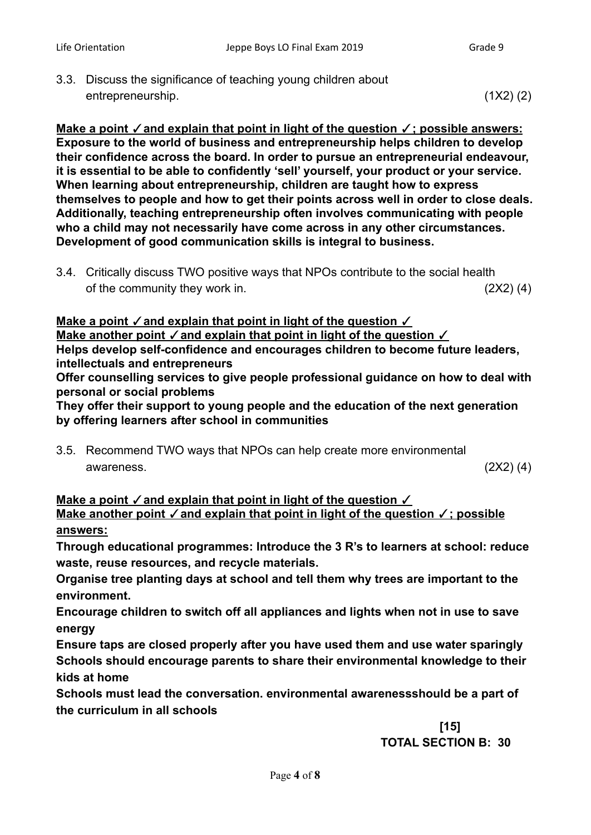3.3. Discuss the significance of teaching young children about entrepreneurship. (1X2) (2)

**Make a point** ✓**and explain that point in light of the question** ✓**; possible answers: Exposure to the world of business and entrepreneurship helps children to develop their confidence across the board. In order to pursue an entrepreneurial endeavour, it is essential to be able to confidently 'sell' yourself, your product or your service. When learning about entrepreneurship, children are taught how to express themselves to people and how to get their points across well in order to close deals. Additionally, teaching entrepreneurship often involves communicating with people who a child may not necessarily have come across in any other circumstances. Development of good communication skills is integral to business.**

3.4. Critically discuss TWO positive ways that NPOs contribute to the social health of the community they work in. (2X2) (4)

**Make a point** ✓**and explain that point in light of the question** ✓ **Make another point** ✓**and explain that point in light of the question** ✓ **Helps develop self-confidence and encourages children to become future leaders, intellectuals and entrepreneurs**

**Offer counselling services to give people professional guidance on how to deal with personal or social problems**

**They offer their support to young people and the education of the next generation by offering learners after school in communities**

3.5. Recommend TWO ways that NPOs can help create more environmental awareness. (2X2) (4)

**Make a point**   $\checkmark$  and explain that point in light of the question  $\checkmark$ **Make another point** ✓**and explain that point in light of the question** ✓**; possible answers:**

**Through educational programmes: Introduce the 3 R's to learners at school: reduce waste, reuse resources, and recycle materials.**

**Organise tree planting days at school and tell them why trees are important to the environment.**

**Encourage children to switch off all appliances and lights when not in use to save energy**

**Ensure taps are closed properly after you have used them and use water sparingly Schools should encourage parents to share their environmental knowledge to their kids at home**

**Schools must lead the conversation. environmental awarenessshould be a part of the curriculum in all schools**

> **[15] TOTAL SECTION B: 30**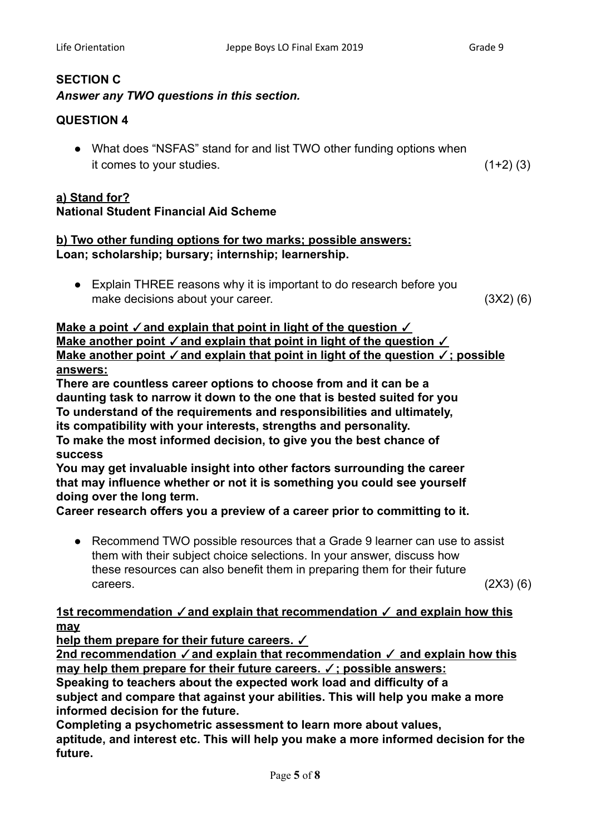# **SECTION C**

# *Answer any TWO questions in this section.*

# **QUESTION 4**

• What does "NSFAS" stand for and list TWO other funding options when it comes to your studies.  $(1+2)$  (3)

# **a) Stand for? National Student Financial Aid Scheme**

# **b) Two other funding options for two marks; possible answers: Loan; scholarship; bursary; internship; learnership.**

● Explain THREE reasons why it is important to do research before you make decisions about your career. (3X2) (6)

**Make a point** ✓**and explain that point in light of the question** ✓ **Make another point** ✓**and explain that point in light of the question** ✓ **Make another point** ✓**and explain that point in light of the question** ✓**; possible answers:**

**There are countless career options to choose from and it can be a daunting task to narrow it down to the one that is bested suited for you To understand of the requirements and responsibilities and ultimately, its compatibility with your interests, strengths and personality. To make the most informed decision, to give you the best chance of**

# **success**

**You may get invaluable insight into other factors surrounding the career that may influence whether or not it is something you could see yourself doing over the long term.**

**Career research offers you a preview of a career prior to committing to it.**

• Recommend TWO possible resources that a Grade 9 learner can use to assist them with their subject choice selections. In your answer, discuss how these resources can also benefit them in preparing them for their future  $\text{careers.}$  (2X3) (6)

# **1st recommendation** ✓**and explain that recommendation** ✓ **and explain how this may**

**help them prepare for their future careers.** ✓

**2nd recommendation** ✓**and explain that recommendation** ✓ **and explain how this may help them prepare for their future careers.** ✓**; possible answers:**

**Speaking to teachers about the expected work load and difficulty of a subject and compare that against your abilities. This will help you make a more informed decision for the future.**

**Completing a psychometric assessment to learn more about values, aptitude, and interest etc. This will help you make a more informed decision for the future.**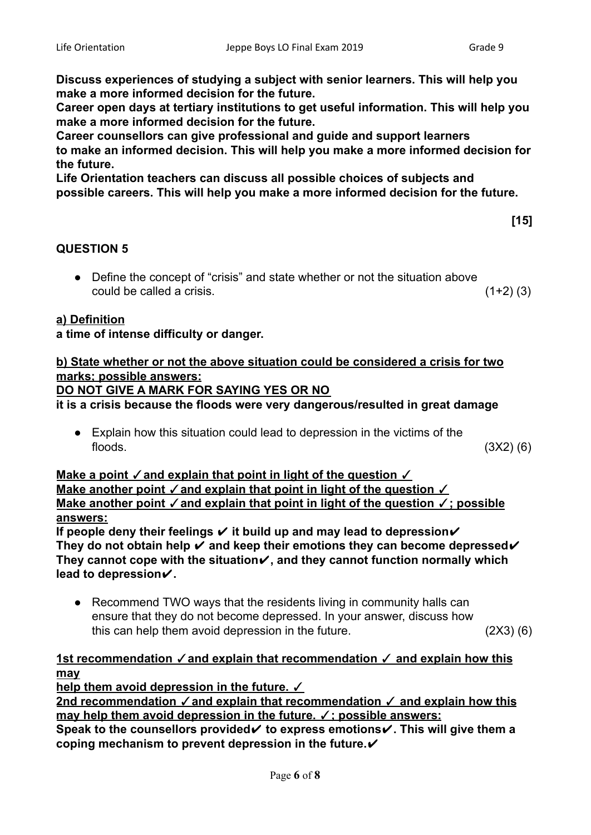**[15]**

**Discuss experiences of studying a subject with senior learners. This will help you make a more informed decision for the future.**

**Career open days at tertiary institutions to get useful information. This will help you make a more informed decision for the future.**

**Career counsellors can give professional and guide and support learners to make an informed decision. This will help you make a more informed decision for the future.**

**Life Orientation teachers can discuss all possible choices of subjects and possible careers. This will help you make a more informed decision for the future.**

# **QUESTION 5**

● Define the concept of "crisis" and state whether or not the situation above could be called a crisis. (1+2) (3)

# **a) Definition**

# **a time of intense difficulty or danger.**

# **b) State whether or not the above situation could be considered a crisis for two marks; possible answers:**

# **DO NOT GIVE A MARK FOR SAYING YES OR NO**

**it is a crisis because the floods were very dangerous/resulted in great damage**

● Explain how this situation could lead to depression in the victims of the  $\beta$  floods.  $(3X2)$  (6)

**Make a point**   $\checkmark$  and explain that point in light of the question  $\checkmark$ **Make another point**  $\checkmark$  and explain that point in light of the question  $\checkmark$ **Make another point** ✓**and explain that point in light of the question** ✓**; possible answers:**

**If people deny their feelings** ✔ **it build up and may lead to depression**✔ **They do not obtain help** ✔ **and keep their emotions they can become depressed**✔ **They cannot cope with the situation**✔**, and they cannot function normally which lead to depression**✔**.**

• Recommend TWO ways that the residents living in community halls can ensure that they do not become depressed. In your answer, discuss how this can help them avoid depression in the future. (2X3) (6)

# **1st recommendation** ✓**and explain that recommendation** ✓ **and explain how this may**

**help them avoid depression in the future.** ✓ **2nd recommendation** ✓**and explain that recommendation** ✓ **and explain how this may help them avoid depression in the future.** ✓**; possible answers: Speak to the counsellors provided**✔ **to express emotions**✔**. This will give them a coping mechanism to prevent depression in the future.**✔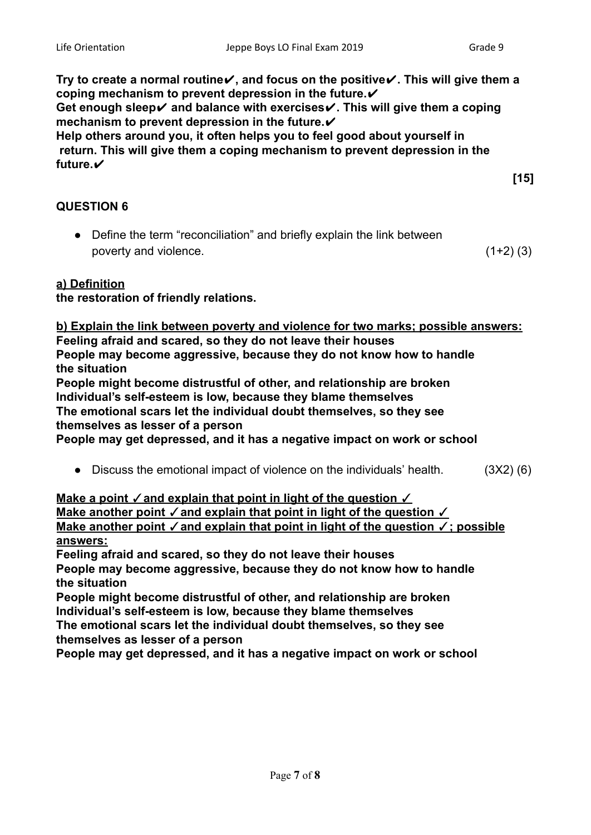**[15]**

**Try to create a normal routine**✔**, and focus on the positive**✔**. This will give them a coping mechanism to prevent depression in the future.**✔ **Get enough sleep**✔ **and balance with exercises**✔**. This will give them a coping mechanism to prevent depression in the future.**✔ **Help others around you, it often helps you to feel good about yourself in return. This will give them a coping mechanism to prevent depression in the future.**✔

**QUESTION 6**

● Define the term "reconciliation" and briefly explain the link between poverty and violence. (1+2) (3)

# **a) Definition**

**the restoration of friendly relations.**

#### **b) Explain the link between poverty and violence for two marks; possible answers: Feeling afraid and scared, so they do not leave their houses People may become aggressive, because they do not know how to handle the situation**

**People might become distrustful of other, and relationship are broken Individual's self-esteem is low, because they blame themselves**

**The emotional scars let the individual doubt themselves, so they see themselves as lesser of a person**

**People may get depressed, and it has a negative impact on work or school**

● Discuss the emotional impact of violence on the individuals' health. (3X2) (6)

**Make a point ⁄ and explain that point in light of the question Make another point ✓ and explain that point in light of the question ✓ Make another point** ✓**and explain that point in light of the question** ✓**; possible answers:**

**Feeling afraid and scared, so they do not leave their houses**

**People may become aggressive, because they do not know how to handle the situation**

**People might become distrustful of other, and relationship are broken Individual's self-esteem is low, because they blame themselves**

**The emotional scars let the individual doubt themselves, so they see themselves as lesser of a person**

**People may get depressed, and it has a negative impact on work or school**